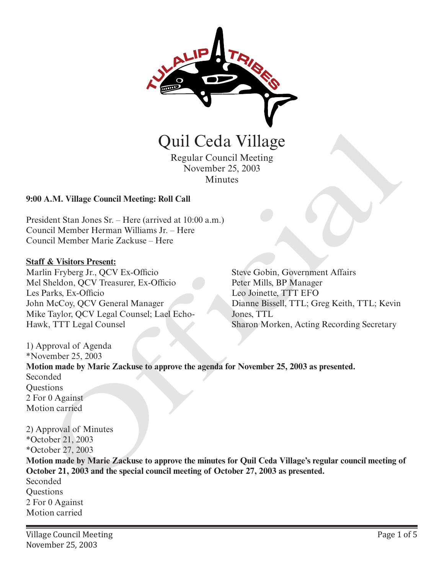

Regular Council Meeting November 25, 2003 Minutes

### **9:00 A.M. Village Council Meeting: Roll Call**

President Stan Jones Sr. – Here (arrived at 10:00 a.m.) Council Member Herman Williams Jr. – Here Council Member Marie Zackuse – Here

#### **Staff & Visitors Present:**

Marlin Fryberg Jr., QCV Ex-Officio Mel Sheldon, QCV Treasurer, Ex-Officio Les Parks, Ex-Officio John McCoy, QCV General Manager Mike Taylor, QCV Legal Counsel; Lael Echo-Hawk, TTT Legal Counsel

Steve Gobin, Government Affairs Peter Mills, BP Manager Leo Joinette, TTT EFO Dianne Bissell, TTL; Greg Keith, TTL; Kevin Jones, TTL Sharon Morken, Acting Recording Secretary

1) Approval of Agenda \*November 25, 2003 **Motion made by Marie Zackuse to approve the agenda for November 25, 2003 as presented.** Seconded **Ouestions** 2 For 0 Against Motion carried Quil Ceda Village<br>
Regular Council Meeting<br>
November 25, 2003<br>
Minutes<br>
A.M. Village Council Meeting: Roll Call<br>
dent Stan Jones Sr. – Here<br>
in Fryberg Jr., QCV Ex-Ollicio<br>
in Fryberg Jr., QCV Ex-Ollicio<br>
in Fryberg Jr., Q

2) Approval of Minutes \*October 21, 2003 \*October 27, 2003

**Motion made by Marie Zackuse to approve the minutes for Quil Ceda Village's regular council meeting of October 21, 2003 and the special council meeting of October 27, 2003 as presented.**

Seconded **Ouestions** 2 For 0 Against Motion carried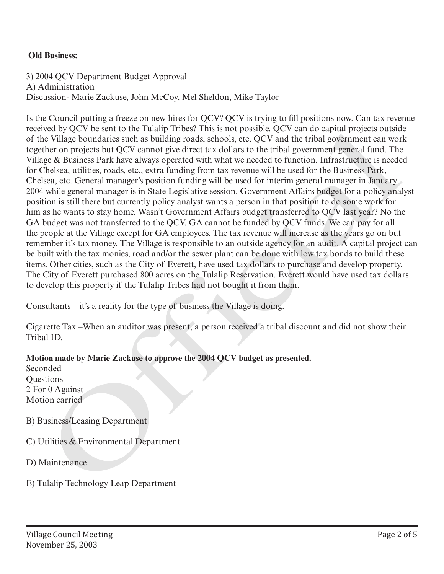### **Old Business:**

3) 2004 QCV Department Budget Approval A) Administration Discussion- Marie Zackuse, John McCoy, Mel Sheldon, Mike Taylor

Is the Council putting a freeze on new hires for QCV? QCV is trying to fill positions now. Can tax revenue received by QCV be sent to the Tulalip Tribes? This is not possible. QCV can do capital projects outside of the Village boundaries such as building roads, schools, etc. QCV and the tribal government can work together on projects but QCV cannot give direct tax dollars to the tribal government general fund. The Village & Business Park have always operated with what we needed to function. Infrastructure is needed for Chelsea, utilities, roads, etc., extra funding from tax revenue will be used for the Business Park, Chelsea, etc. General manager's position funding will be used for interim general manager in January 2004 while general manager is in State Legislative session. Government Affairs budget for a policy analyst position is still there but currently policy analyst wants a person in that position to do some work for him as he wants to stay home. Wasn't Government Affairs budget transferred to QCV last year? No the GA budget was not transferred to the QCV. GA cannot be funded by QCV funds. We can pay for all the people at the Village except for GA employees. The tax revenue will increase as the years go on but remember it's tax money. The Village is responsible to an outside agency for an audit. A capital project can be built with the tax monies, road and/or the sewer plant can be done with low tax bonds to build these items. Other cities, such as the City of Everett, have used tax dollars to purchase and develop property. The City of Everett purchased 800 acres on the Tulalip Reservation. Everett would have used tax dollars to develop this property if the Tulalip Tribes had not bought it from them. received by Q v. be estit on the usany rines r in is not positive. Q v. v can do capital properts outstand<br>of the Village boundaries such as building roads, schools, etc. QCV and the tribal government can wor<br>or the Villag

Consultants – it's a reality for the type of business the Village is doing.

Cigarette Tax –When an auditor was present, a person received a tribal discount and did not show their Tribal ID.

## **Motion made by Marie Zackuse to approve the 2004 QCV budget as presented.**

**Seconded Questions** 2 For 0 Against Motion carried

- B) Business/Leasing Department
- C) Utilities & Environmental Department
- D) Maintenance
-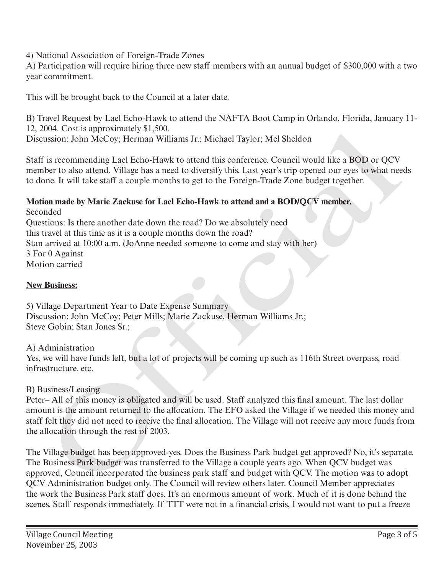4) National Association of Foreign-Trade Zones

A) Participation will require hiring three new staff members with an annual budget of \$300,000 with a two year commitment.

This will be brought back to the Council at a later date.

B) Travel Request by Lael Echo-Hawk to attend the NAFTA Boot Camp in Orlando, Florida, January 11- 12, 2004. Cost is approximately \$1,500.

Discussion: John McCoy; Herman Williams Jr.; Michael Taylor; Mel Sheldon

Staff is recommending Lael Echo-Hawk to attend this conference. Council would like a BOD or QCV member to also attend. Village has a need to diversify this. Last year's trip opened our eyes to what needs to done. It will take staff a couple months to get to the Foreign-Trade Zone budget together.

### **Motion made by Marie Zackuse for Lael Echo-Hawk to attend and a BOD/QCV member.** Seconded

Questions: Is there another date down the road? Do we absolutely need this travel at this time as it is a couple months down the road? Stan arrived at 10:00 a.m. (JoAnne needed someone to come and stay with her) 3 For 0 Against Motion carried

## **New Business:**

5) Village Department Year to Date Expense Summary Discussion: John McCoy; Peter Mills; Marie Zackuse, Herman Williams Jr.; Steve Gobin; Stan Jones Sr.;

A) Administration

Yes, we will have funds left, but a lot of projects will be coming up such as 116th Street overpass, road infrastructure, etc.

## B) Business/Leasing

Peter– All of this money is obligated and will be used. Staff analyzed this final amount. The last dollar amount is the amount returned to the allocation. The EFO asked the Village if we needed this money and staff felt they did not need to receive the final allocation. The Village will not receive any more funds from the allocation through the rest of 2003. 004. Cost is approximately S1,500.<br>
wision: John McCoy: Herman Williams Jr.; Michael Taylor: Mel Sheldon<br>
is recommending Lael Echo-Hawk to attend this conference. Council would like a BOD or QCV<br>
her to also attend. Villa

The Village budget has been approved-yes. Does the Business Park budget get approved? No, it's separate. The Business Park budget was transferred to the Village a couple years ago. When QCV budget was approved, Council incorporated the business park staff and budget with QCV. The motion was to adopt QCV Administration budget only. The Council will review others later. Council Member appreciates the work the Business Park staff does. It's an enormous amount of work. Much of it is done behind the scenes. Staff responds immediately. If TTT were not in a financial crisis, I would not want to put a freeze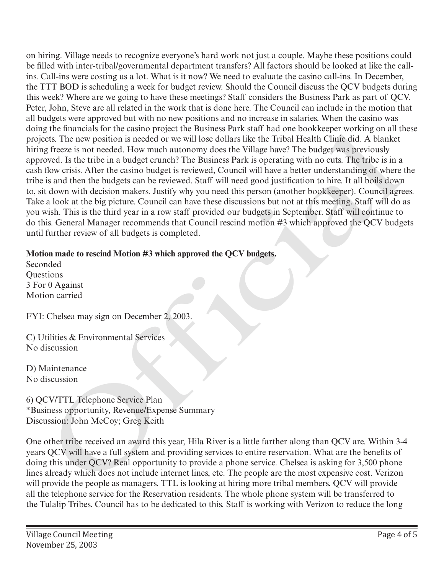on hiring. Village needs to recognize everyone's hard work not just a couple. Maybe these positions could be filled with inter-tribal/governmental department transfers? All factors should be looked at like the callins. Call-ins were costing us a lot. What is it now? We need to evaluate the casino call-ins. In December, the TTT BOD is scheduling a week for budget review. Should the Council discuss the QCV budgets during this week? Where are we going to have these meetings? Staff considers the Business Park as part of QCV. Peter, John, Steve are all related in the work that is done here. The Council can include in the motion that all budgets were approved but with no new positions and no increase in salaries. When the casino was doing the financials for the casino project the Business Park staff had one bookkeeper working on all these projects. The new position is needed or we will lose dollars like the Tribal Health Clinic did. A blanket hiring freeze is not needed. How much autonomy does the Village have? The budget was previously approved. Is the tribe in a budget crunch? The Business Park is operating with no cuts. The tribe is in a cash flow crisis. After the casino budget is reviewed, Council will have a better understanding of where the tribe is and then the budgets can be reviewed. Staff will need good justification to hire. It all boils down to, sit down with decision makers. Justify why you need this person (another bookkeeper). Council agrees. Take a look at the big picture. Council can have these discussions but not at this meeting. Staff will do as you wish. This is the third year in a row staff provided our budgets in September. Staff will continue to do this. General Manager recommends that Council rescind motion #3 which approved the QCV budgets until further review of all budgets is completed. g mennancials for the casino project the musiness Park star wan nata one noonseeper working on all the prozess in tracel. Hen two provides the triple interval is the budget was provided to the method. The business Park is

# **Motion made to rescind Motion #3 which approved the QCV budgets.**

Seconded Questions 3 For 0 Against Motion carried

FYI: Chelsea may sign on December 2, 2003.

C) Utilities & Environmental Services No discussion

D) Maintenance No discussion

6) QCV/TTL Telephone Service Plan \*Business opportunity, Revenue/Expense Summary Discussion: John McCoy; Greg Keith

One other tribe received an award this year, Hila River is a little farther along than QCV are. Within 3-4 years QCV will have a full system and providing services to entire reservation. What are the benefits of doing this under QCV? Real opportunity to provide a phone service. Chelsea is asking for 3,500 phone lines already which does not include internet lines, etc. The people are the most expensive cost. Verizon will provide the people as managers. TTL is looking at hiring more tribal members. QCV will provide all the telephone service for the Reservation residents. The whole phone system will be transferred to the Tulalip Tribes. Council has to be dedicated to this. Staff is working with Verizon to reduce the long